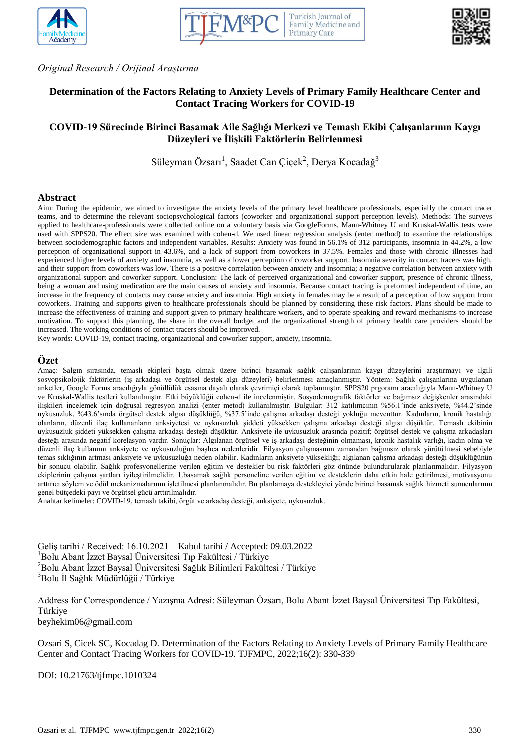





*Original Research / Orijinal Araştırma*

# **Determination of the Factors Relating to Anxiety Levels of Primary Family Healthcare Center and Contact Tracing Workers for COVID-19**

# **COVID-19 Sürecinde Birinci Basamak Aile Sağlığı Merkezi ve Temaslı Ekibi Çalışanlarının Kaygı Düzeyleri ve İlişkili Faktörlerin Belirlenmesi**

Süleyman Özsarı<sup>1</sup>, Saadet Can Çiçek<sup>2</sup>, Derya Kocadağ<sup>3</sup>

#### **Abstract**

Aim: During the epidemic, we aimed to investigate the anxiety levels of the primary level healthcare professionals, especially the contact tracer teams, and to determine the relevant sociopsychological factors (coworker and organizational support perception levels). Methods: The surveys applied to healthcare-professionals were collected online on a voluntary basis via GoogleForms. Mann-Whitney U and Kruskal-Wallis tests were used with SPPS20. The effect size was examined with cohen-d. We used linear regression analysis (enter method) to examine the relationships between sociodemographic factors and independent variables. Results: Anxiety was found in 56.1% of 312 participants, insomnia in 44.2%, a low perception of organizational support in 43.6%, and a lack of support from coworkers in 37.5%. Females and those with chronic illnesses had experienced higher levels of anxiety and insomnia, as well as a lower perception of coworker support. Insomnia severity in contact tracers was high, and their support from coworkers was low. There is a positive correlation between anxiety and insomnia; a negative correlation between anxiety with organizational support and coworker support. Conclusion: The lack of perceived organizational and coworker support, presence of chronic illness, being a woman and using medication are the main causes of anxiety and insomnia. Because contact tracing is preformed independent of time, an increase in the frequency of contacts may cause anxiety and insomnia. High anxiety in females may be a result of a perception of low support from coworkers. Training and supports given to healthcare professionals should be planned by considering these risk factors. Plans should be made to increase the effectiveness of training and support given to primary healthcare workers, and to operate speaking and reward mechanisms to increase motivation. To support this planning, the share in the overall budget and the organizational strength of primary health care providers should be increased. The working conditions of contact tracers should be improved.

Key words: COVID-19, contact tracing, organizational and coworker support, anxiety, insomnia.

#### **Özet**

Amaç: Salgın sırasında, temaslı ekipleri başta olmak üzere birinci basamak sağlık çalışanlarının kaygı düzeylerini araştırmayı ve ilgili sosyopsikolojik faktörlerin (iş arkadaşı ve örgütsel destek algı düzeyleri) belirlenmesi amaçlanmıştır. Yöntem: Sağlık çalışanlarına uygulanan anketler, Google Forms aracılığıyla gönüllülük esasına dayalı olarak çevrimiçi olarak toplanmıştır. SPPS20 prgoramı aracılığıyla Mann-Whitney U ve Kruskal-Wallis testleri kullanılmıştır. Etki büyüklüğü cohen-d ile incelenmiştir. Sosyodemografik faktörler ve bağımsız değişkenler arasındaki ilişkileri incelemek için doğrusal regresyon analizi (enter metod) kullanılmıştır. Bulgular: 312 katılımcının %56.1'inde anksiyete, %44.2'sinde uykusuzluk, %43.6'sında örgütsel destek algısı düşüklüğü, %37.5'inde çalışma arkadaşı desteği yokluğu mevcuttur. Kadınların, kronik hastalığı olanların, düzenli ilaç kullananların anksiyetesi ve uykusuzluk şiddeti yüksekken çalışma arkadaşı desteği algısı düşüktür. Temaslı ekibinin uykusuzluk şiddeti yüksekken çalışma arkadaşı desteği düşüktür. Anksiyete ile uykusuzluk arasında pozitif; örgütsel destek ve çalışma arkadaşları desteği arasında negatif korelasyon vardır. Sonuçlar: Algılanan örgütsel ve iş arkadaşı desteğinin olmaması, kronik hastalık varlığı, kadın olma ve düzenli ilaç kullanımı anksiyete ve uykusuzluğun başlıca nedenleridir. Filyasyon çalışmasının zamandan bağımsız olarak yürütülmesi sebebiyle temas sıklığının artması anksiyete ve uykusuzluğa neden olabilir. Kadınların anksiyete yüksekliği; algılanan çalışma arkadaşı desteği düşüklüğünün bir sonucu olabilir. Sağlık profesyonellerine verilen eğitim ve destekler bu risk faktörleri göz önünde bulundurularak planlanmalıdır. Filyasyon ekiplerinin çalışma şartları iyileştirilmelidir. 1.basamak sağlık personeline verilen eğitim ve desteklerin daha etkin hale getirilmesi, motivasyonu arttırıcı söylem ve ödül mekanizmalarının işletilmesi planlanmalıdır. Bu planlamaya destekleyici yönde birinci basamak sağlık hizmeti sunucularının genel bütçedeki payı ve örgütsel gücü arttırılmalıdır.

Anahtar kelimeler: COVID-19, temaslı takibi, örgüt ve arkadaş desteği, anksiyete, uykusuzluk.

Geliş tarihi / Received: 16.10.2021 Kabul tarihi / Accepted: 09.03.2022  $1$ Bolu Abant İzzet Baysal Üniversitesi Tıp Fakültesi / Türkiye <sup>2</sup>Bolu Abant İzzet Baysal Üniversitesi Sağlık Bilimleri Fakültesi / Türkiye <sup>3</sup>Bolu İl Sağlık Müdürlüğü / Türkiye

Address for Correspondence / Yazışma Adresi: Süleyman Özsarı, Bolu Abant İzzet Baysal Üniversitesi Tıp Fakültesi, Türkiye beyhekim06@gmail.com

Ozsari S, Cicek SC, Kocadag D. Determination of the Factors Relating to Anxiety Levels of Primary Family Healthcare Center and Contact Tracing Workers for COVID-19. TJFMPC, 2022;16(2): 330-339

DOI: 10.21763/tjfmpc.1010324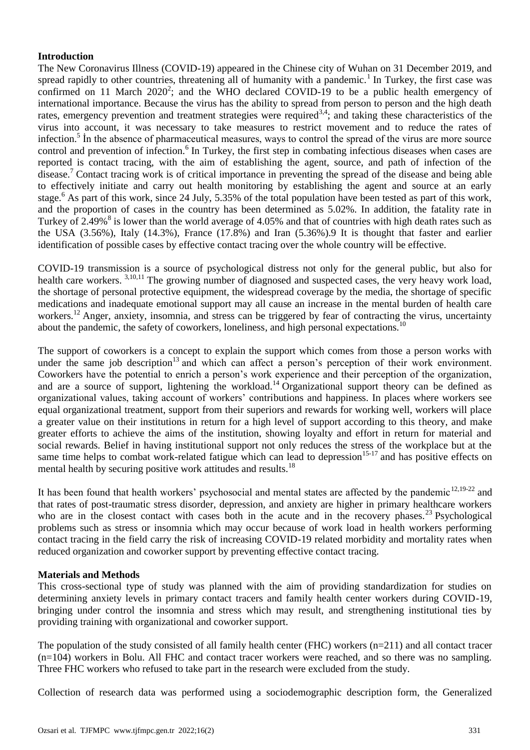## **Introduction**

The New Coronavirus Illness (COVID-19) appeared in the Chinese city of Wuhan on 31 December 2019, and spread rapidly to other countries, threatening all of humanity with a pandemic.<sup>1</sup> In Turkey, the first case was confirmed on 11 March  $2020^2$ ; and the WHO declared COVID-19 to be a public health emergency of international importance. Because the virus has the ability to spread from person to person and the high death rates, emergency prevention and treatment strategies were required<sup>3,4</sup>; and taking these characteristics of the virus into account, it was necessary to take measures to restrict movement and to reduce the rates of infection.<sup>5</sup> In the absence of pharmaceutical measures, ways to control the spread of the virus are more source control and prevention of infection.<sup>6</sup> In Turkey, the first step in combating infectious diseases when cases are reported is contact tracing, with the aim of establishing the agent, source, and path of infection of the disease.<sup>7</sup> Contact tracing work is of critical importance in preventing the spread of the disease and being able to effectively initiate and carry out health monitoring by establishing the agent and source at an early stage.<sup>6</sup> As part of this work, since 24 July, 5.35% of the total population have been tested as part of this work, and the proportion of cases in the country has been determined as 5.02%. In addition, the fatality rate in Turkey of 2.49%<sup>8</sup> is lower than the world average of 4.05% and that of countries with high death rates such as the USA (3.56%), Italy (14.3%), France (17.8%) and Iran (5.36%).9 It is thought that faster and earlier identification of possible cases by effective contact tracing over the whole country will be effective.

COVID-19 transmission is a source of psychological distress not only for the general public, but also for health care workers. <sup>3,10,11</sup> The growing number of diagnosed and suspected cases, the very heavy work load, the shortage of personal protective equipment, the widespread coverage by the media, the shortage of specific medications and inadequate emotional support may all cause an increase in the mental burden of health care workers.<sup>12</sup> Anger, anxiety, insomnia, and stress can be triggered by fear of contracting the virus, uncertainty about the pandemic, the safety of coworkers, loneliness, and high personal expectations.<sup>10</sup>

The support of coworkers is a concept to explain the support which comes from those a person works with under the same job description<sup>13</sup> and which can affect a person's perception of their work environment. Coworkers have the potential to enrich a person's work experience and their perception of the organization, and are a source of support, lightening the workload.<sup>14</sup> Organizational support theory can be defined as organizational values, taking account of workers' contributions and happiness. In places where workers see equal organizational treatment, support from their superiors and rewards for working well, workers will place a greater value on their institutions in return for a high level of support according to this theory, and make greater efforts to achieve the aims of the institution, showing loyalty and effort in return for material and social rewards. Belief in having institutional support not only reduces the stress of the workplace but at the same time helps to combat work-related fatigue which can lead to depression<sup>15-17</sup> and has positive effects on mental health by securing positive work attitudes and results.<sup>18</sup>

It has been found that health workers' psychosocial and mental states are affected by the pandemic $12,19-22$  and that rates of post-traumatic stress disorder, depression, and anxiety are higher in primary healthcare workers who are in the closest contact with cases both in the acute and in the recovery phases.<sup>23</sup> Psychological problems such as stress or insomnia which may occur because of work load in health workers performing contact tracing in the field carry the risk of increasing COVID-19 related morbidity and mortality rates when reduced organization and coworker support by preventing effective contact tracing.

## **Materials and Methods**

This cross-sectional type of study was planned with the aim of providing standardization for studies on determining anxiety levels in primary contact tracers and family health center workers during COVID-19, bringing under control the insomnia and stress which may result, and strengthening institutional ties by providing training with organizational and coworker support.

The population of the study consisted of all family health center (FHC) workers (n=211) and all contact tracer (n=104) workers in Bolu. All FHC and contact tracer workers were reached, and so there was no sampling. Three FHC workers who refused to take part in the research were excluded from the study.

Collection of research data was performed using a sociodemographic description form, the Generalized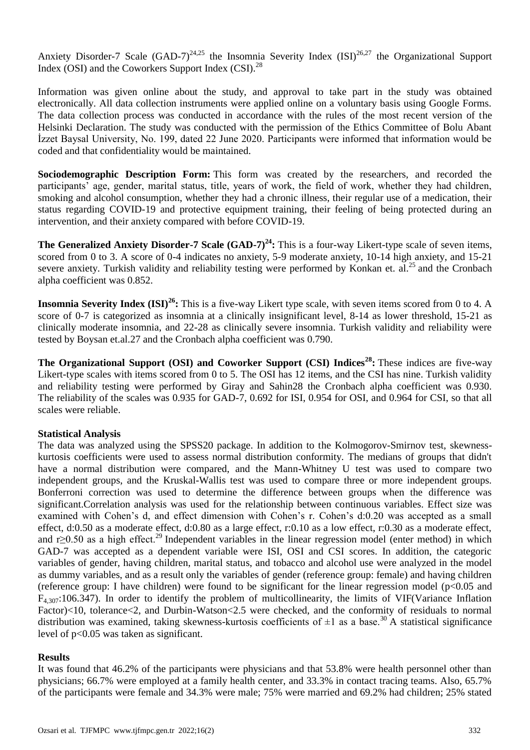Anxiety Disorder-7 Scale  $(GAD-7)^{24,25}$  the Insomnia Severity Index  $(ISD)^{26,27}$  the Organizational Support Index (OSI) and the Coworkers Support Index (CSI).<sup>28</sup>

Information was given online about the study, and approval to take part in the study was obtained electronically. All data collection instruments were applied online on a voluntary basis using Google Forms. The data collection process was conducted in accordance with the rules of the most recent version of the Helsinki Declaration. The study was conducted with the permission of the Ethics Committee of Bolu Abant İzzet Baysal University, No. 199, dated 22 June 2020. Participants were informed that information would be coded and that confidentiality would be maintained.

**Sociodemographic Description Form:** This form was created by the researchers, and recorded the participants' age, gender, marital status, title, years of work, the field of work, whether they had children, smoking and alcohol consumption, whether they had a chronic illness, their regular use of a medication, their status regarding COVID-19 and protective equipment training, their feeling of being protected during an intervention, and their anxiety compared with before COVID-19.

**The Generalized Anxiety Disorder-7 Scale (GAD-7)<sup>24</sup>:** This is a four-way Likert-type scale of seven items, scored from 0 to 3. A score of 0-4 indicates no anxiety, 5-9 moderate anxiety, 10-14 high anxiety, and 15-21 severe anxiety. Turkish validity and reliability testing were performed by Konkan et. al.<sup>25</sup> and the Cronbach alpha coefficient was 0.852.

**Insomnia Severity Index (ISI)<sup>26</sup>:** This is a five-way Likert type scale, with seven items scored from 0 to 4. A score of 0-7 is categorized as insomnia at a clinically insignificant level, 8-14 as lower threshold, 15-21 as clinically moderate insomnia, and 22-28 as clinically severe insomnia. Turkish validity and reliability were tested by Boysan et.al.27 and the Cronbach alpha coefficient was 0.790.

**The Organizational Support (OSI) and Coworker Support (CSI) Indices<sup>28</sup>:** These indices are five-way Likert-type scales with items scored from 0 to 5. The OSI has 12 items, and the CSI has nine. Turkish validity and reliability testing were performed by Giray and Sahin28 the Cronbach alpha coefficient was 0.930. The reliability of the scales was 0.935 for GAD-7, 0.692 for ISI, 0.954 for OSI, and 0.964 for CSI, so that all scales were reliable.

## **Statistical Analysis**

The data was analyzed using the SPSS20 package. In addition to the Kolmogorov-Smirnov test, skewnesskurtosis coefficients were used to assess normal distribution conformity. The medians of groups that didn't have a normal distribution were compared, and the Mann-Whitney U test was used to compare two independent groups, and the Kruskal-Wallis test was used to compare three or more independent groups. Bonferroni correction was used to determine the difference between groups when the difference was significant.Correlation analysis was used for the relationship between continuous variables. Effect size was examined with Cohen's d, and effect dimension with Cohen's r. Cohen's d:0.20 was accepted as a small effect, d:0.50 as a moderate effect, d:0.80 as a large effect, r:0.10 as a low effect, r:0.30 as a moderate effect, and r≥0.50 as a high effect.<sup>29</sup> Independent variables in the linear regression model (enter method) in which GAD-7 was accepted as a dependent variable were ISI, OSI and CSI scores. In addition, the categoric variables of gender, having children, marital status, and tobacco and alcohol use were analyzed in the model as dummy variables, and as a result only the variables of gender (reference group: female) and having children (reference group: I have children) were found to be significant for the linear regression model ( $p<0.05$  and  $F_{4,307}$ :106.347). In order to identify the problem of multicollinearity, the limits of VIF(Variance Inflation Factor)<10, tolerance<2, and Durbin-Watson<2.5 were checked, and the conformity of residuals to normal distribution was examined, taking skewness-kurtosis coefficients of  $\pm 1$  as a base.<sup>30</sup> A statistical significance level of p<0.05 was taken as significant.

#### **Results**

It was found that 46.2% of the participants were physicians and that 53.8% were health personnel other than physicians; 66.7% were employed at a family health center, and 33.3% in contact tracing teams. Also, 65.7% of the participants were female and 34.3% were male; 75% were married and 69.2% had children; 25% stated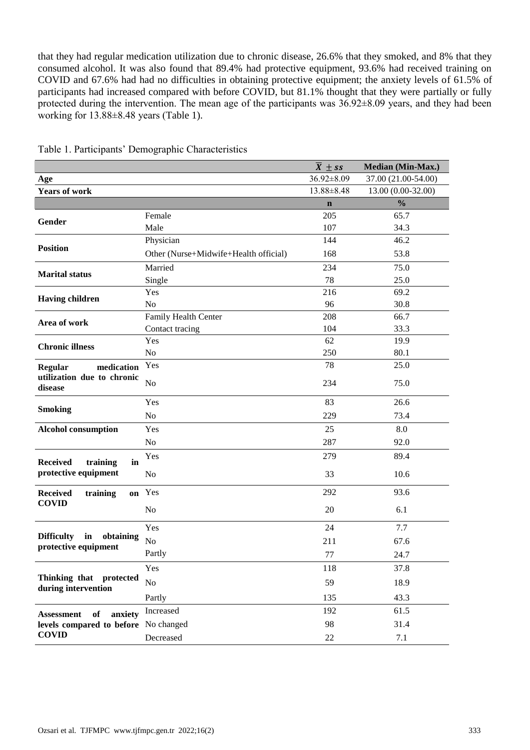that they had regular medication utilization due to chronic disease, 26.6% that they smoked, and 8% that they consumed alcohol. It was also found that 89.4% had protective equipment, 93.6% had received training on COVID and 67.6% had had no difficulties in obtaining protective equipment; the anxiety levels of 61.5% of participants had increased compared with before COVID, but 81.1% thought that they were partially or fully protected during the intervention. The mean age of the participants was  $36.92\pm8.09$  years, and they had been working for 13.88±8.48 years (Table 1).

|                                                              |                                       | $\overline{X}$ ± ss | Median (Min-Max.)   |
|--------------------------------------------------------------|---------------------------------------|---------------------|---------------------|
| Age                                                          |                                       | 36.92±8.09          | 37.00 (21.00-54.00) |
| <b>Years of work</b>                                         |                                       | 13.88±8.48          | 13.00 (0.00-32.00)  |
|                                                              |                                       | $\mathbf n$         | $\frac{0}{0}$       |
| Gender                                                       | Female                                | 205                 | 65.7                |
|                                                              | Male                                  | 107                 | 34.3                |
|                                                              | Physician                             | 144                 | 46.2                |
| <b>Position</b>                                              | Other (Nurse+Midwife+Health official) | 168                 | 53.8                |
| <b>Marital status</b>                                        | Married                               | 234                 | 75.0                |
|                                                              | Single                                | 78                  | 25.0                |
| <b>Having children</b>                                       | Yes                                   | 216                 | 69.2                |
|                                                              | N <sub>o</sub>                        | 96                  | 30.8                |
| Area of work                                                 | Family Health Center                  | 208                 | 66.7                |
|                                                              | Contact tracing                       | 104                 | 33.3                |
| <b>Chronic illness</b>                                       | Yes                                   | 62                  | 19.9                |
|                                                              | N <sub>o</sub>                        | 250                 | 80.1                |
| medication<br><b>Regular</b>                                 | Yes                                   | 78                  | 25.0                |
| utilization due to chronic<br>disease                        | N <sub>o</sub>                        | 234                 | 75.0                |
|                                                              | Yes                                   | 83                  | 26.6                |
| <b>Smoking</b>                                               | N <sub>o</sub>                        | 229                 | 73.4                |
| <b>Alcohol consumption</b>                                   | Yes                                   | 25                  | 8.0                 |
|                                                              | N <sub>o</sub>                        | 287                 | 92.0                |
| <b>Received</b><br>training<br>in                            | Yes                                   | 279                 | 89.4                |
| protective equipment                                         | N <sub>o</sub>                        | 33                  | 10.6                |
| <b>Received</b><br>training<br>on                            | Yes                                   | 292                 | 93.6                |
| <b>COVID</b>                                                 | No                                    | 20                  | 6.1                 |
|                                                              | Yes                                   | 24                  | 7.7                 |
| <b>Difficulty</b><br>obtaining<br>in<br>protective equipment | N <sub>o</sub>                        | 211                 | 67.6                |
|                                                              | Partly                                | 77                  | 24.7                |
|                                                              | Yes                                   | 118                 | 37.8                |
| Thinking that protected                                      | No                                    | 59                  | 18.9                |
| during intervention                                          | Partly                                | 135                 | 43.3                |
| of<br>anxiety<br><b>Assessment</b>                           | Increased                             | 192                 | 61.5                |
| levels compared to before No changed                         |                                       | 98                  | 31.4                |
| <b>COVID</b>                                                 | Decreased                             | 22                  | 7.1                 |
|                                                              |                                       |                     |                     |

Table 1. Participants' Demographic Characteristics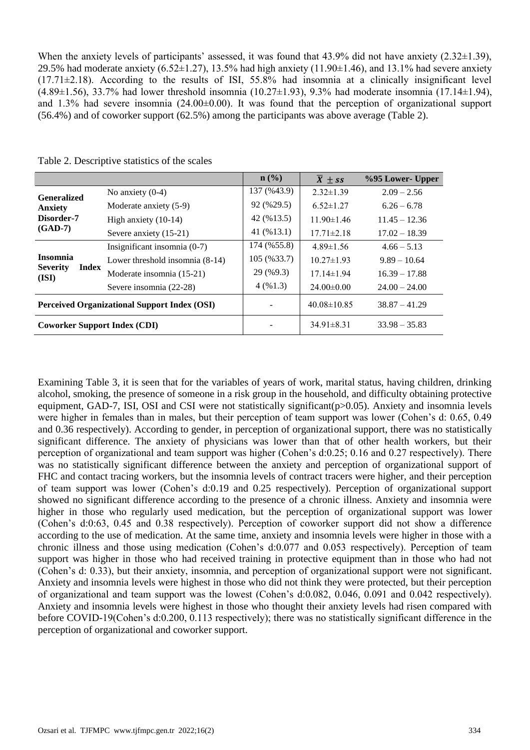When the anxiety levels of participants' assessed, it was found that 43.9% did not have anxiety (2.32 $\pm$ 1.39), 29.5% had moderate anxiety (6.52 $\pm$ 1.27), 13.5% had high anxiety (11.90 $\pm$ 1.46), and 13.1% had severe anxiety  $(17.71\pm2.18)$ . According to the results of ISI, 55.8% had insomnia at a clinically insignificant level (4.89±1.56), 33.7% had lower threshold insomnia (10.27±1.93), 9.3% had moderate insomnia (17.14±1.94), and 1.3% had severe insomnia (24.00±0.00). It was found that the perception of organizational support (56.4%) and of coworker support (62.5%) among the participants was above average (Table 2).

|                                                     |                        |                                   | $n$ (%)                 | $\overline{X}$ ± ss | %95 Lower- Upper |
|-----------------------------------------------------|------------------------|-----------------------------------|-------------------------|---------------------|------------------|
| <b>Generalized</b>                                  |                        | No anxiety $(0-4)$                | 137 (%43.9)             | $2.32 \pm 1.39$     | $2.09 - 2.56$    |
| <b>Anxiety</b><br>Disorder-7<br>$(GAD-7)$           |                        | Moderate anxiety (5-9)            | 92 (%29.5)              | $6.52 \pm 1.27$     | $6.26 - 6.78$    |
|                                                     | High anxiety $(10-14)$ | 42 (%13.5)                        | $11.90 \pm 1.46$        | $11.45 - 12.36$     |                  |
|                                                     |                        | Severe anxiety (15-21)            | 41 $(% 41 \times 13.1)$ | $17.71 \pm 2.18$    | $17.02 - 18.39$  |
| <b>Insomnia</b><br><b>Severity</b><br>(ISI)         |                        | Insignificant insomnia (0-7)      | 174 (%55.8)             | $4.89 \pm 1.56$     | $4.66 - 5.13$    |
|                                                     |                        | Lower threshold insomnia $(8-14)$ | 105 (%33.7)             | $10.27 \pm 1.93$    | $9.89 - 10.64$   |
|                                                     | Index                  | Moderate insomnia (15-21)         | 29 (%9.3)               | $17.14 \pm 1.94$    | $16.39 - 17.88$  |
|                                                     |                        | Severe insomnia (22-28)           | 4(%1.3)                 | $24.00\pm0.00$      | $24.00 - 24.00$  |
| <b>Perceived Organizational Support Index (OSI)</b> |                        |                                   |                         | $40.08 \pm 10.85$   | $38.87 - 41.29$  |
| <b>Coworker Support Index (CDI)</b>                 |                        |                                   |                         | $34.91 \pm 8.31$    | $33.98 - 35.83$  |

Table 2. Descriptive statistics of the scales

Examining Table 3, it is seen that for the variables of years of work, marital status, having children, drinking alcohol, smoking, the presence of someone in a risk group in the household, and difficulty obtaining protective equipment, GAD-7, ISI, OSI and CSI were not statistically significant(p>0.05). Anxiety and insomnia levels were higher in females than in males, but their perception of team support was lower (Cohen's d: 0.65, 0.49 and 0.36 respectively). According to gender, in perception of organizational support, there was no statistically significant difference. The anxiety of physicians was lower than that of other health workers, but their perception of organizational and team support was higher (Cohen's d:0.25; 0.16 and 0.27 respectively). There was no statistically significant difference between the anxiety and perception of organizational support of FHC and contact tracing workers, but the insomnia levels of contract tracers were higher, and their perception of team support was lower (Cohen's d:0.19 and 0.25 respectively). Perception of organizational support showed no significant difference according to the presence of a chronic illness. Anxiety and insomnia were higher in those who regularly used medication, but the perception of organizational support was lower (Cohen's d:0:63, 0.45 and 0.38 respectively). Perception of coworker support did not show a difference according to the use of medication. At the same time, anxiety and insomnia levels were higher in those with a chronic illness and those using medication (Cohen's d:0.077 and 0.053 respectively). Perception of team support was higher in those who had received training in protective equipment than in those who had not (Cohen's d: 0.33), but their anxiety, insomnia, and perception of organizational support were not significant. Anxiety and insomnia levels were highest in those who did not think they were protected, but their perception of organizational and team support was the lowest (Cohen's d:0.082, 0.046, 0.091 and 0.042 respectively). Anxiety and insomnia levels were highest in those who thought their anxiety levels had risen compared with before COVID-19(Cohen's d:0.200, 0.113 respectively); there was no statistically significant difference in the perception of organizational and coworker support.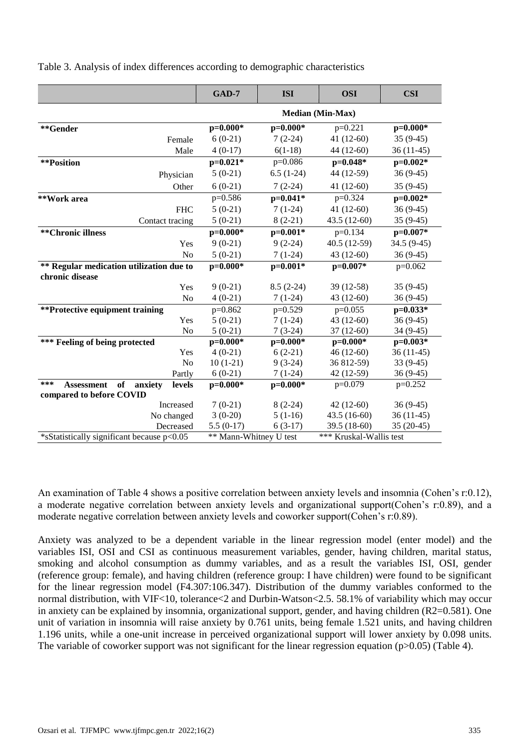|  |  |  |  | Table 3. Analysis of index differences according to demographic characteristics |
|--|--|--|--|---------------------------------------------------------------------------------|
|  |  |  |  |                                                                                 |
|  |  |  |  |                                                                                 |
|  |  |  |  |                                                                                 |

|                                                                                 | <b>GAD-7</b>            | <b>ISI</b>  | <b>OSI</b>              | <b>CSI</b>  |  |
|---------------------------------------------------------------------------------|-------------------------|-------------|-------------------------|-------------|--|
|                                                                                 | <b>Median (Min-Max)</b> |             |                         |             |  |
| **Gender                                                                        | $p=0.000*$              | $p=0.000*$  | $p=0.221$               | $p=0.000*$  |  |
| Female                                                                          | $6(0-21)$               | $7(2-24)$   | 41 $(12-60)$            | $35(9-45)$  |  |
| Male                                                                            | $4(0-17)$               | $6(1-18)$   | 44 (12-60)              | 36 (11-45)  |  |
| **Position                                                                      | $p=0.021*$              | p=0.086     | p=0.048*                | $p=0.002*$  |  |
| Physician                                                                       | $5(0-21)$               | $6.5(1-24)$ | 44 (12-59)              | $36(9-45)$  |  |
| Other                                                                           | $6(0-21)$               | $7(2-24)$   | $41(12-60)$             | $35(9-45)$  |  |
| **Work area                                                                     | $p=0.586$               | $p=0.041*$  | $p=0.324$               | $p=0.002*$  |  |
| <b>FHC</b>                                                                      | $5(0-21)$               | $7(1-24)$   | $41(12-60)$             | $36(9-45)$  |  |
| Contact tracing                                                                 | $5(0-21)$               | $8(2-21)$   | 43.5 (12-60)            | $35(9-45)$  |  |
| **Chronic illness                                                               | $p=0.000*$              | $p=0.001*$  | $p=0.134$               | $p=0.007*$  |  |
| Yes                                                                             | $9(0-21)$               | $9(2-24)$   | 40.5 (12-59)            | 34.5 (9-45) |  |
| N <sub>o</sub>                                                                  | $5(0-21)$               | $7(1-24)$   | 43 (12-60)              | $36(9-45)$  |  |
| ** Regular medication utilization due to<br>chronic disease                     | $p=0.000*$              | $p=0.001*$  | $p=0.007*$              | $p=0.062$   |  |
| Yes                                                                             | $9(0-21)$               | $8.5(2-24)$ | 39 (12-58)              | $35(9-45)$  |  |
| N <sub>o</sub>                                                                  | $4(0-21)$               | $7(1-24)$   | 43 (12-60)              | $36(9-45)$  |  |
| **Protective equipment training                                                 | p=0.862                 | $p=0.529$   | $p=0.055$               | $p=0.033*$  |  |
| Yes                                                                             | $5(0-21)$               | $7(1-24)$   | 43 (12-60)              | $36(9-45)$  |  |
| N <sub>o</sub>                                                                  | $5(0-21)$               | $7(3-24)$   | 37 (12-60)              | 34 (9-45)   |  |
| *** Feeling of being protected                                                  | $p=0.000*$              | $p=0.000*$  | $p=0.000*$              | $p=0.003*$  |  |
| Yes                                                                             | $4(0-21)$               | $6(2-21)$   | 46 (12-60)              | $36(11-45)$ |  |
| No                                                                              | $10(1-21)$              | $9(3-24)$   | 36 812-59)              | 33 (9-45)   |  |
| Partly                                                                          | $6(0-21)$               | $7(1-24)$   | 42 (12-59)              | $36(9-45)$  |  |
| ***<br>of<br><b>Assessment</b><br>anxiety<br>levels<br>compared to before COVID | $p=0.000*$              | $p=0.000*$  | $p=0.079$               | $p=0.252$   |  |
| Increased                                                                       | $7(0-21)$               | $8(2-24)$   | $42(12-60)$             | $36(9-45)$  |  |
| No changed                                                                      | $3(0-20)$               | $5(1-16)$   | $43.5(16-60)$           | $36(11-45)$ |  |
| Decreased                                                                       | $5.5(0-17)$             | $6(3-17)$   | 39.5 (18-60)            | $35(20-45)$ |  |
| *sStatistically significant because p<0.05                                      | ** Mann-Whitney U test  |             | *** Kruskal-Wallis test |             |  |

An examination of Table 4 shows a positive correlation between anxiety levels and insomnia (Cohen's r:0.12), a moderate negative correlation between anxiety levels and organizational support(Cohen's r:0.89), and a moderate negative correlation between anxiety levels and coworker support(Cohen's r:0.89).

Anxiety was analyzed to be a dependent variable in the linear regression model (enter model) and the variables ISI, OSI and CSI as continuous measurement variables, gender, having children, marital status, smoking and alcohol consumption as dummy variables, and as a result the variables ISI, OSI, gender (reference group: female), and having children (reference group: I have children) were found to be significant for the linear regression model (F4.307:106.347). Distribution of the dummy variables conformed to the normal distribution, with VIF<10, tolerance<2 and Durbin-Watson<2.5. 58.1% of variability which may occur in anxiety can be explained by insomnia, organizational support, gender, and having children (R2=0.581). One unit of variation in insomnia will raise anxiety by 0.761 units, being female 1.521 units, and having children 1.196 units, while a one-unit increase in perceived organizational support will lower anxiety by 0.098 units. The variable of coworker support was not significant for the linear regression equation ( $p>0.05$ ) (Table 4).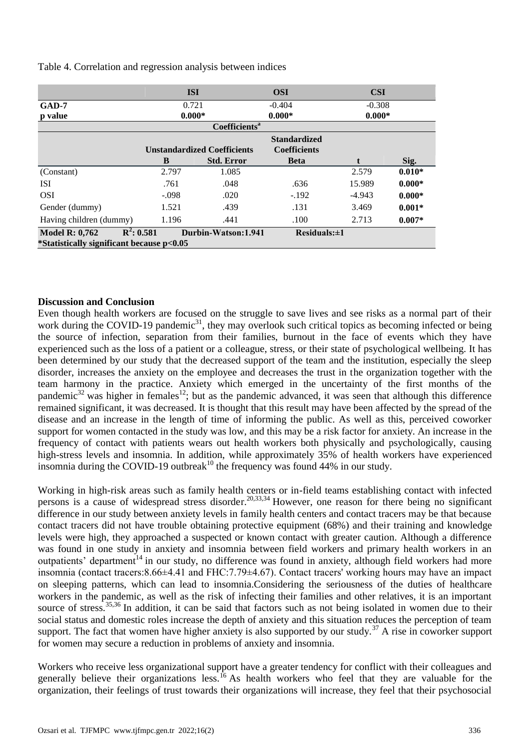Table 4. Correlation and regression analysis between indices

|                                           | <b>ISI</b>                |                                    | <b>OSI</b>          | <b>CSI</b> |          |  |  |
|-------------------------------------------|---------------------------|------------------------------------|---------------------|------------|----------|--|--|
| $GAD-7$                                   |                           | 0.721<br>$-0.404$                  |                     |            | $-0.308$ |  |  |
| p value                                   |                           | $0.000*$                           |                     |            | $0.000*$ |  |  |
|                                           | Coefficients <sup>a</sup> |                                    |                     |            |          |  |  |
|                                           |                           |                                    | <b>Standardized</b> |            |          |  |  |
|                                           |                           | <b>Unstandardized Coefficients</b> |                     |            |          |  |  |
|                                           | B                         | <b>Std. Error</b>                  | <b>Beta</b>         |            | Sig.     |  |  |
| (Constant)                                | 2.797                     | 1.085                              |                     | 2.579      | $0.010*$ |  |  |
| <b>ISI</b>                                | .761                      | .048                               | .636                | 15.989     | $0.000*$ |  |  |
| <b>OSI</b>                                | $-.098$                   | .020                               | $-192$              | $-4.943$   | $0.000*$ |  |  |
| Gender (dummy)                            | 1.521                     | .439                               | .131                | 3.469      | $0.001*$ |  |  |
| Having children (dummy)                   | 1.196                     | .441                               | .100                | 2.713      | $0.007*$ |  |  |
| $R^2: 0.581$<br><b>Model R: 0,762</b>     |                           | Durbin-Watson: 1.941               | $Residuals:\pm 1$   |            |          |  |  |
| *Statistically significant because p<0.05 |                           |                                    |                     |            |          |  |  |

## **Discussion and Conclusion**

Even though health workers are focused on the struggle to save lives and see risks as a normal part of their work during the COVID-19 pandemic<sup>31</sup>, they may overlook such critical topics as becoming infected or being the source of infection, separation from their families, burnout in the face of events which they have experienced such as the loss of a patient or a colleague, stress, or their state of psychological wellbeing. It has been determined by our study that the decreased support of the team and the institution, especially the sleep disorder, increases the anxiety on the employee and decreases the trust in the organization together with the team harmony in the practice. Anxiety which emerged in the uncertainty of the first months of the pandemic<sup>32</sup> was higher in females<sup>12</sup>; but as the pandemic advanced, it was seen that although this difference remained significant, it was decreased. It is thought that this result may have been affected by the spread of the disease and an increase in the length of time of informing the public. As well as this, perceived coworker support for women contacted in the study was low, and this may be a risk factor for anxiety. An increase in the frequency of contact with patients wears out health workers both physically and psychologically, causing high-stress levels and insomnia. In addition, while approximately 35% of health workers have experienced insomnia during the COVID-19 outbreak<sup>10</sup> the frequency was found 44% in our study.

Working in high-risk areas such as family health centers or in-field teams establishing contact with infected persons is a cause of widespread stress disorder.<sup>20,33,34</sup> However, one reason for there being no significant difference in our study between anxiety levels in family health centers and contact tracers may be that because contact tracers did not have trouble obtaining protective equipment (68%) and their training and knowledge levels were high, they approached a suspected or known contact with greater caution. Although a difference was found in one study in anxiety and insomnia between field workers and primary health workers in an outpatients' department<sup>14</sup> in our study, no difference was found in anxiety, although field workers had more insomnia (contact tracers:8.66±4.41 and FHC:7.79±4.67). Contact tracers' working hours may have an impact on sleeping patterns, which can lead to insomnia.Considering the seriousness of the duties of healthcare workers in the pandemic, as well as the risk of infecting their families and other relatives, it is an important source of stress.<sup>35,36</sup> In addition, it can be said that factors such as not being isolated in women due to their social status and domestic roles increase the depth of anxiety and this situation reduces the perception of team support. The fact that women have higher anxiety is also supported by our study.<sup>37</sup> A rise in coworker support for women may secure a reduction in problems of anxiety and insomnia.

Workers who receive less organizational support have a greater tendency for conflict with their colleagues and generally believe their organizations less.<sup>16</sup> As health workers who feel that they are valuable for the organization, their feelings of trust towards their organizations will increase, they feel that their psychosocial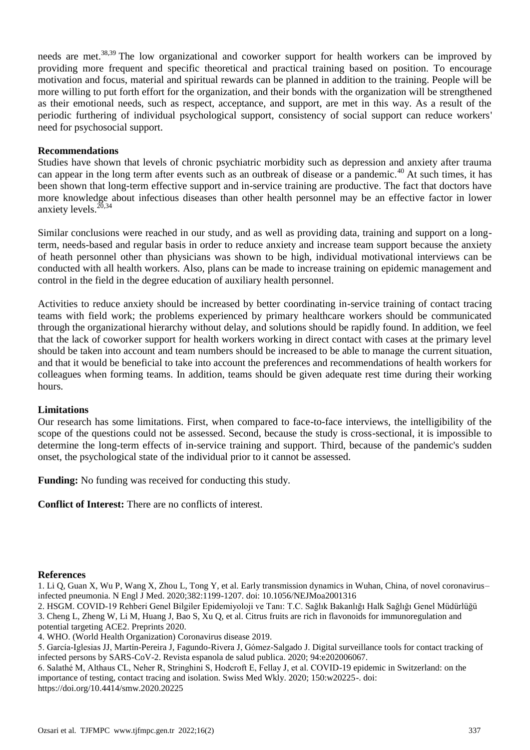needs are met.<sup>38,39</sup> The low organizational and coworker support for health workers can be improved by providing more frequent and specific theoretical and practical training based on position. To encourage motivation and focus, material and spiritual rewards can be planned in addition to the training. People will be more willing to put forth effort for the organization, and their bonds with the organization will be strengthened as their emotional needs, such as respect, acceptance, and support, are met in this way. As a result of the periodic furthering of individual psychological support, consistency of social support can reduce workers' need for psychosocial support.

### **Recommendations**

Studies have shown that levels of chronic psychiatric morbidity such as depression and anxiety after trauma can appear in the long term after events such as an outbreak of disease or a pandemic.<sup>40</sup> At such times, it has been shown that long-term effective support and in-service training are productive. The fact that doctors have more knowledge about infectious diseases than other health personnel may be an effective factor in lower anxiety levels. $^{20,34}$ 

Similar conclusions were reached in our study, and as well as providing data, training and support on a longterm, needs-based and regular basis in order to reduce anxiety and increase team support because the anxiety of heath personnel other than physicians was shown to be high, individual motivational interviews can be conducted with all health workers. Also, plans can be made to increase training on epidemic management and control in the field in the degree education of auxiliary health personnel.

Activities to reduce anxiety should be increased by better coordinating in-service training of contact tracing teams with field work; the problems experienced by primary healthcare workers should be communicated through the organizational hierarchy without delay, and solutions should be rapidly found. In addition, we feel that the lack of coworker support for health workers working in direct contact with cases at the primary level should be taken into account and team numbers should be increased to be able to manage the current situation, and that it would be beneficial to take into account the preferences and recommendations of health workers for colleagues when forming teams. In addition, teams should be given adequate rest time during their working hours.

#### **Limitations**

Our research has some limitations. First, when compared to face-to-face interviews, the intelligibility of the scope of the questions could not be assessed. Second, because the study is cross-sectional, it is impossible to determine the long-term effects of in-service training and support. Third, because of the pandemic's sudden onset, the psychological state of the individual prior to it cannot be assessed.

**Funding:** No funding was received for conducting this study.

**Conflict of Interest:** There are no conflicts of interest.

#### **References**

1. Li Q, Guan X, Wu P, Wang X, Zhou L, Tong Y, et al. Early transmission dynamics in Wuhan, China, of novel coronavirus– infected pneumonia. N Engl J Med. 2020;382:1199-1207. doi: 10.1056/NEJMoa2001316

2. HSGM. COVID-19 Rehberi Genel Bilgiler Epidemiyoloji ve Tanı: T.C. Sağlık Bakanlığı Halk Sağlığı Genel Müdürlüğü 3. Cheng L, Zheng W, Li M, Huang J, Bao S, Xu Q, et al. Citrus fruits are rich in flavonoids for immunoregulation and

potential targeting ACE2. Preprints 2020.

4. WHO. (World Health Organization) Coronavirus disease 2019.

5. García-Iglesias JJ, Martín-Pereira J, Fagundo-Rivera J, Gómez-Salgado J. Digital surveillance tools for contact tracking of infected persons by SARS-CoV-2. Revista espanola de salud publica. 2020; 94:e202006067.

6. Salathé M, Althaus CL, Neher R, Stringhini S, Hodcroft E, Fellay J, et al. COVID-19 epidemic in Switzerland: on the importance of testing, contact tracing and isolation. Swiss Med Wkly. 2020; 150:w20225-. doi: https://doi.org/10.4414/smw.2020.20225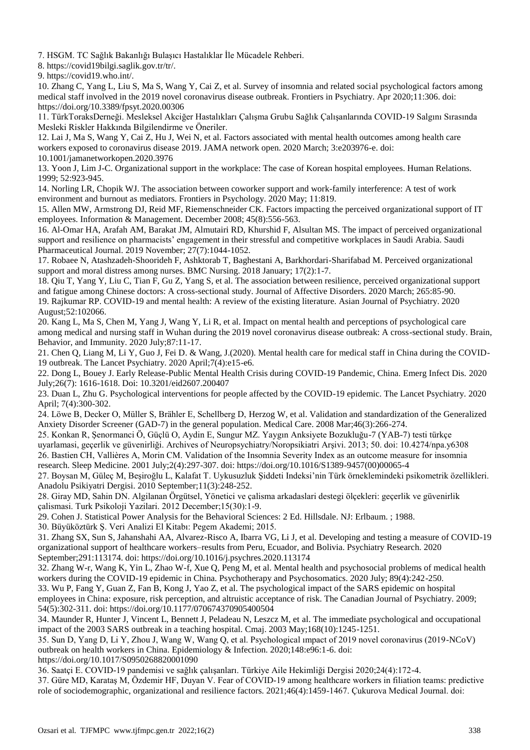7. HSGM. TC Sağlık Bakanlığı Bulaşıcı Hastalıklar İle Mücadele Rehberi.

8. https://covid19bilgi.saglik.gov.tr/tr/.

9. https://covid19.who.int/.

10. Zhang C, Yang L, Liu S, Ma S, Wang Y, Cai Z, et al. Survey of insomnia and related social psychological factors among medical staff involved in the 2019 novel coronavirus disease outbreak. Frontiers in Psychiatry. Apr 2020;11:306. doi: https://doi.org/10.3389/fpsyt.2020.00306

11. TürkToraksDerneği. Mesleksel Akciğer Hastalıkları Çalışma Grubu Sağlık Çalışanlarında COVID-19 Salgını Sırasında Mesleki Riskler Hakkında Bilgilendirme ve Öneriler.

12. Lai J, Ma S, Wang Y, Cai Z, Hu J, Wei N, et al. Factors associated with mental health outcomes among health care workers exposed to coronavirus disease 2019. JAMA network open. 2020 March; 3:e203976-e. doi: 10.1001/jamanetworkopen.2020.3976

13. Yoon J, Lim J-C. Organizational support in the workplace: The case of Korean hospital employees. Human Relations. 1999; 52:923-945.

14. Norling LR, Chopik WJ. The association between coworker support and work-family interference: A test of work environment and burnout as mediators. Frontiers in Psychology. 2020 May; 11:819.

15. Allen MW, Armstrong DJ, Reid MF, Riemenschneider CK. Factors impacting the perceived organizational support of IT employees. Information & Management. December 2008; 45(8):556-563.

16. Al-Omar HA, Arafah AM, Barakat JM, Almutairi RD, Khurshid F, Alsultan MS. The impact of perceived organizational support and resilience on pharmacists' engagement in their stressful and competitive workplaces in Saudi Arabia. Saudi Pharmaceutical Journal. 2019 November; 27(7):1044-1052.

17. Robaee N, Atashzadeh-Shoorideh F, Ashktorab T, Baghestani A, Barkhordari-Sharifabad M. Perceived organizational support and moral distress among nurses. BMC Nursing. 2018 January; 17(2):1-7.

18. Qiu T, Yang Y, Liu C, Tian F, Gu Z, Yang S, et al. The association between resilience, perceived organizational support and fatigue among Chinese doctors: A cross-sectional study. Journal of Affective Disorders. 2020 March; 265:85-90. 19. Rajkumar RP. COVID-19 and mental health: A review of the existing literature. Asian Journal of Psychiatry. 2020

August;52:102066.

20. Kang L, Ma S, Chen M, Yang J, Wang Y, Li R, et al. Impact on mental health and perceptions of psychological care among medical and nursing staff in Wuhan during the 2019 novel coronavirus disease outbreak: A cross-sectional study. Brain, Behavior, and Immunity. 2020 July;87:11-17.

21. Chen Q, Liang M, Li Y, Guo J, Fei D. & Wang, J.(2020). Mental health care for medical staff in China during the COVID-19 outbreak. The Lancet Psychiatry. 2020 April;7(4):e15-e6.

22. Dong L, Bouey J. Early Release-Public Mental Health Crisis during COVID-19 Pandemic, China. Emerg Infect Dis. 2020 July;26(7): 1616-1618. Doi: 10.3201/eid2607.200407

23. Duan L, Zhu G. Psychological interventions for people affected by the COVID-19 epidemic. The Lancet Psychiatry. 2020 April; 7(4):300-302.

24. Löwe B, Decker O, Müller S, Brähler E, Schellberg D, Herzog W, et al. Validation and standardization of the Generalized Anxiety Disorder Screener (GAD-7) in the general population. Medical Care. 2008 Mar;46(3):266-274.

25. Konkan R, Şenormanci Ö, Güçlü O, Aydin E, Sungur MZ. Yaygın Anksiyete Bozukluğu-7 (YAB-7) testi türkçe uyarlamasi, geçerlik ve güvenirliği. Archives of Neuropsychiatry/Noropsikiatri Arşivi. 2013; 50. doi: 10.4274/npa.y6308 26. Bastien CH, Vallières A, Morin CM. Validation of the Insomnia Severity Index as an outcome measure for insomnia research. Sleep Medicine. 2001 July;2(4):297-307. doi: https://doi.org/10.1016/S1389-9457(00)00065-4

27. Boysan M, Güleç M, Beşiroğlu L, Kalafat T. Uykusuzluk Şiddeti Indeksi'nin Türk örneklemindeki psikometrik özellikleri. Anadolu Psikiyatri Dergisi. 2010 September;11(3):248-252.

28. Giray MD, Sahin DN. Algilanan Örgütsel, Yönetici ve çalisma arkadaslari destegi ölçekleri: geçerlik ve güvenirlik çalismasi. Turk Psikoloji Yazilari. 2012 December;15(30):1-9.

29. Cohen J. Statistical Power Analysis for the Behavioral Sciences: 2 Ed. Hillsdale. NJ: Erlbaum. ; 1988.

30. Büyüköztürk Ş. Veri Analizi El Kitabı: Pegem Akademi; 2015.

31. Zhang SX, Sun S, Jahanshahi AA, Alvarez-Risco A, Ibarra VG, Li J, et al. Developing and testing a measure of COVID-19 organizational support of healthcare workers–results from Peru, Ecuador, and Bolivia. Psychiatry Research. 2020 September;291:113174. doi: https://doi.org/10.1016/j.psychres.2020.113174

32. Zhang W-r, Wang K, Yin L, Zhao W-f, Xue Q, Peng M, et al. Mental health and psychosocial problems of medical health workers during the COVID-19 epidemic in China. Psychotherapy and Psychosomatics. 2020 July; 89(4):242-250.

33. Wu P, Fang Y, Guan Z, Fan B, Kong J, Yao Z, et al. The psychological impact of the SARS epidemic on hospital employees in China: exposure, risk perception, and altruistic acceptance of risk. The Canadian Journal of Psychiatry. 2009; 54(5):302-311. doi: https://doi.org/10.1177/070674370905400504

34. Maunder R, Hunter J, Vincent L, Bennett J, Peladeau N, Leszcz M, et al. The immediate psychological and occupational impact of the 2003 SARS outbreak in a teaching hospital. Cmaj. 2003 May;168(10):1245-1251.

35. Sun D, Yang D, Li Y, Zhou J, Wang W, Wang Q, et al. Psychological ımpact of 2019 novel coronavirus (2019-NCoV) outbreak on health workers in China. Epidemiology & Infection. 2020;148:e96:1-6. doi:

https://doi.org/10.1017/S0950268820001090

36. Saatçi E. COVID-19 pandemisi ve sağlık çalışanları. Türkiye Aile Hekimliği Dergisi 2020;24(4):172-4.

37. Güre MD, Karataş M, Özdemir HF, Duyan V. Fear of COVID-19 among healthcare workers in filiation teams: predictive role of sociodemographic, organizational and resilience factors. 2021;46(4):1459-1467. Çukurova Medical Journal. doi: